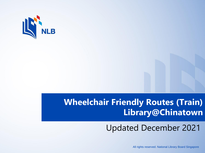

## **Wheelchair Friendly Routes (Train) Library@Chinatown**

## Updated December 2021

All rights reserved. National Library Board Singapore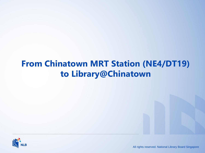## **From Chinatown MRT Station (NE4/DT19) to Library@Chinatown**



All rights reserved. National Library Board Singapore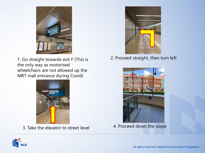

1. Go straight towards exit F (This is the only way as motorised wheelchairs are not allowed up the MRT mall entrance during Covid)



3. Take the elevator to street level



2. Proceed straight, then turn left



4. Proceed down the slope

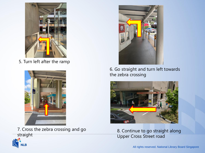

5. Turn left after the ramp



7. Cross the zebra crossing and go straight



6. Go straight and turn left towards the zebra crossing



8. Continue to go straight along Upper Cross Street road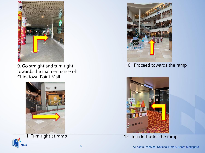

9. Go straight and turn right towards the main entrance of Chinatown Point Mall







10. Proceed towards the ramp



11. Turn right at ramp 12. Turn left after the ramp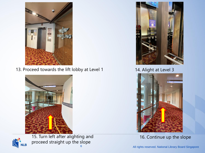

13. Proceed towards the lift lobby at Level 1 14. Alight at Level 3





15. Turn left after alighting and proceed straight up the slope





16. Continue up the slope